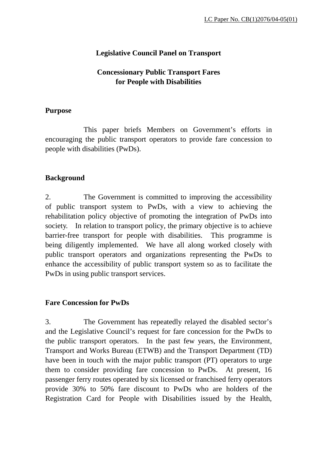# **Legislative Council Panel on Transport**

# **Concessionary Public Transport Fares for People with Disabilities**

## **Purpose**

 This paper briefs Members on Government's efforts in encouraging the public transport operators to provide fare concession to people with disabilities (PwDs).

## **Background**

2. The Government is committed to improving the accessibility of public transport system to PwDs, with a view to achieving the rehabilitation policy objective of promoting the integration of PwDs into society. In relation to transport policy, the primary objective is to achieve barrier-free transport for people with disabilities. This programme is being diligently implemented. We have all along worked closely with public transport operators and organizations representing the PwDs to enhance the accessibility of public transport system so as to facilitate the PwDs in using public transport services.

## **Fare Concession for PwDs**

3. The Government has repeatedly relayed the disabled sector's and the Legislative Council's request for fare concession for the PwDs to the public transport operators. In the past few years, the Environment, Transport and Works Bureau (ETWB) and the Transport Department (TD) have been in touch with the major public transport (PT) operators to urge them to consider providing fare concession to PwDs. At present, 16 passenger ferry routes operated by six licensed or franchised ferry operators provide 30% to 50% fare discount to PwDs who are holders of the Registration Card for People with Disabilities issued by the Health,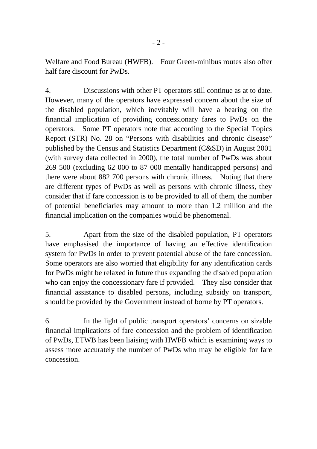Welfare and Food Bureau (HWFB). Four Green-minibus routes also offer half fare discount for PwDs.

4. Discussions with other PT operators still continue as at to date. However, many of the operators have expressed concern about the size of the disabled population, which inevitably will have a bearing on the financial implication of providing concessionary fares to PwDs on the operators. Some PT operators note that according to the Special Topics Report (STR) No. 28 on "Persons with disabilities and chronic disease" published by the Census and Statistics Department (C&SD) in August 2001 (with survey data collected in 2000), the total number of PwDs was about 269 500 (excluding 62 000 to 87 000 mentally handicapped persons) and there were about 882 700 persons with chronic illness. Noting that there are different types of PwDs as well as persons with chronic illness, they consider that if fare concession is to be provided to all of them, the number of potential beneficiaries may amount to more than 1.2 million and the financial implication on the companies would be phenomenal.

5. Apart from the size of the disabled population, PT operators have emphasised the importance of having an effective identification system for PwDs in order to prevent potential abuse of the fare concession. Some operators are also worried that eligibility for any identification cards for PwDs might be relaxed in future thus expanding the disabled population who can enjoy the concessionary fare if provided. They also consider that financial assistance to disabled persons, including subsidy on transport, should be provided by the Government instead of borne by PT operators.

6. In the light of public transport operators' concerns on sizable financial implications of fare concession and the problem of identification of PwDs, ETWB has been liaising with HWFB which is examining ways to assess more accurately the number of PwDs who may be eligible for fare concession.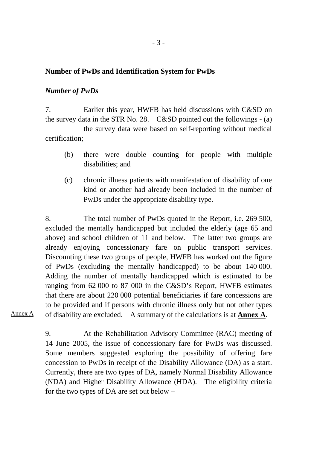#### **Number of PwDs and Identification System for PwDs**

#### *Number of PwDs*

7. Earlier this year, HWFB has held discussions with C&SD on the survey data in the STR No. 28. C&SD pointed out the followings - (a) the survey data were based on self-reporting without medical certification;

- (b) there were double counting for people with multiple disabilities; and
- (c) chronic illness patients with manifestation of disability of one kind or another had already been included in the number of PwDs under the appropriate disability type.

8. The total number of PwDs quoted in the Report, i.e. 269 500, excluded the mentally handicapped but included the elderly (age 65 and above) and school children of 11 and below. The latter two groups are already enjoying concessionary fare on public transport services. Discounting these two groups of people, HWFB has worked out the figure of PwDs (excluding the mentally handicapped) to be about 140 000. Adding the number of mentally handicapped which is estimated to be ranging from 62 000 to 87 000 in the C&SD's Report, HWFB estimates that there are about 220 000 potential beneficiaries if fare concessions are to be provided and if persons with chronic illness only but not other types of disability are excluded. A summary of the calculations is at **Annex A**.

Annex A

9. At the Rehabilitation Advisory Committee (RAC) meeting of 14 June 2005, the issue of concessionary fare for PwDs was discussed. Some members suggested exploring the possibility of offering fare concession to PwDs in receipt of the Disability Allowance (DA) as a start. Currently, there are two types of DA, namely Normal Disability Allowance (NDA) and Higher Disability Allowance (HDA). The eligibility criteria for the two types of DA are set out below –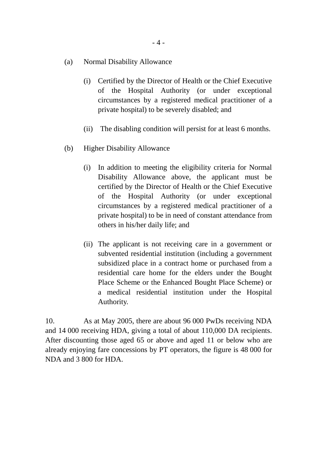- (a) Normal Disability Allowance
	- (i) Certified by the Director of Health or the Chief Executive of the Hospital Authority (or under exceptional circumstances by a registered medical practitioner of a private hospital) to be severely disabled; and
	- (ii) The disabling condition will persist for at least 6 months.
- (b) Higher Disability Allowance
	- (i) In addition to meeting the eligibility criteria for Normal Disability Allowance above, the applicant must be certified by the Director of Health or the Chief Executive of the Hospital Authority (or under exceptional circumstances by a registered medical practitioner of a private hospital) to be in need of constant attendance from others in his/her daily life; and
	- (ii) The applicant is not receiving care in a government or subvented residential institution (including a government subsidized place in a contract home or purchased from a residential care home for the elders under the Bought Place Scheme or the Enhanced Bought Place Scheme) or a medical residential institution under the Hospital Authority.

10. As at May 2005, there are about 96 000 PwDs receiving NDA and 14 000 receiving HDA, giving a total of about 110,000 DA recipients. After discounting those aged 65 or above and aged 11 or below who are already enjoying fare concessions by PT operators, the figure is 48 000 for NDA and 3 800 for HDA.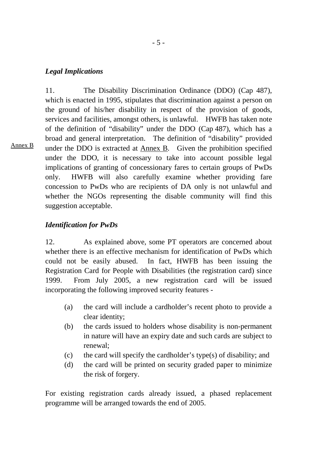#### *Legal Implications*

Annex B

11. The Disability Discrimination Ordinance (DDO) (Cap 487), which is enacted in 1995, stipulates that discrimination against a person on the ground of his/her disability in respect of the provision of goods, services and facilities, amongst others, is unlawful. HWFB has taken note of the definition of "disability" under the DDO (Cap 487), which has a broad and general interpretation. The definition of "disability" provided under the DDO is extracted at Annex B. Given the prohibition specified under the DDO, it is necessary to take into account possible legal implications of granting of concessionary fares to certain groups of PwDs only. HWFB will also carefully examine whether providing fare concession to PwDs who are recipients of DA only is not unlawful and whether the NGOs representing the disable community will find this suggestion acceptable.

## *Identification for PwDs*

12. As explained above, some PT operators are concerned about whether there is an effective mechanism for identification of PwDs which could not be easily abused. In fact, HWFB has been issuing the Registration Card for People with Disabilities (the registration card) since 1999. From July 2005, a new registration card will be issued incorporating the following improved security features -

- (a) the card will include a cardholder's recent photo to provide a clear identity;
- (b) the cards issued to holders whose disability is non-permanent in nature will have an expiry date and such cards are subject to renewal;
- (c) the card will specify the cardholder's type(s) of disability; and
- (d) the card will be printed on security graded paper to minimize the risk of forgery.

For existing registration cards already issued, a phased replacement programme will be arranged towards the end of 2005.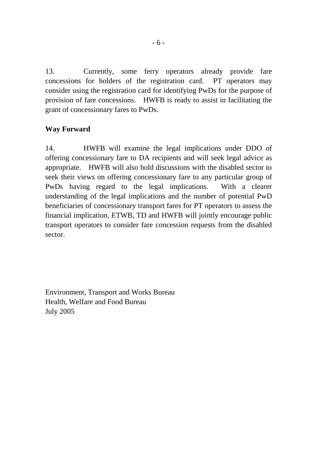13. Currently, some ferry operators already provide fare concessions for holders of the registration card. PT operators may consider using the registration card for identifying PwDs for the purpose of provision of fare concessions. HWFB is ready to assist in facilitating the grant of concessionary fares to PwDs.

## **Way Forward**

14. HWFB will examine the legal implications under DDO of offering concessionary fare to DA recipients and will seek legal advice as appropriate. HWFB will also hold discussions with the disabled sector to seek their views on offering concessionary fare to any particular group of PwDs having regard to the legal implications. With a clearer understanding of the legal implications and the number of potential PwD beneficiaries of concessionary transport fares for PT operators to assess the financial implication, ETWB, TD and HWFB will jointly encourage public transport operators to consider fare concession requests from the disabled sector.

Environment, Transport and Works Bureau Health, Welfare and Food Bureau July 2005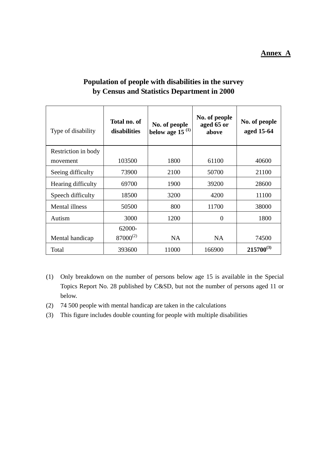#### **Annex A**

| Type of disability  | Total no. of<br>disabilities | No. of people<br>below age 15 $(1)$ | No. of people<br>aged 65 or<br>above | No. of people<br>aged 15-64 |
|---------------------|------------------------------|-------------------------------------|--------------------------------------|-----------------------------|
| Restriction in body |                              |                                     |                                      |                             |
| movement            | 103500                       | 1800                                | 61100                                | 40600                       |
| Seeing difficulty   | 73900                        | 2100                                | 50700                                | 21100                       |
| Hearing difficulty  | 69700                        | 1900                                | 39200                                | 28600                       |
| Speech difficulty   | 18500                        | 3200                                | 4200                                 | 11100                       |
| Mental illness      | 50500                        | 800                                 | 11700                                | 38000                       |
| Autism              | 3000                         | 1200                                | $\Omega$                             | 1800                        |
|                     | 62000-                       |                                     |                                      |                             |
| Mental handicap     | $87000^{(2)}$                | <b>NA</b>                           | <b>NA</b>                            | 74500                       |
| Total               | 393600                       | 11000                               | 166900                               | $215700^{(3)}$              |

# **Population of people with disabilities in the survey by Census and Statistics Department in 2000**

- (1) Only breakdown on the number of persons below age 15 is available in the Special Topics Report No. 28 published by C&SD, but not the number of persons aged 11 or below.
- (2) 74 500 people with mental handicap are taken in the calculations
- (3) This figure includes double counting for people with multiple disabilities